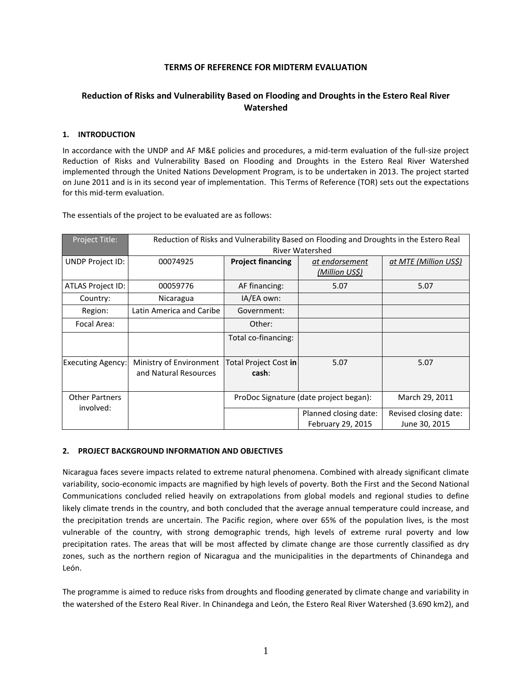# **TERMS OF REFERENCE FOR MIDTERM EVALUATION**

# **Reduction of Risks and Vulnerability Based on Flooding and Droughts in the Estero Real River Watershed**

### **1. INTRODUCTION**

In accordance with the UNDP and AF M&E policies and procedures, a mid-term evaluation of the full-size project Reduction of Risks and Vulnerability Based on Flooding and Droughts in the Estero Real River Watershed implemented through the United Nations Development Program, is to be undertaken in 2013. The project started on June 2011 and is in its second year of implementation. This Terms of Reference (TOR) sets out the expectations for this mid-term evaluation.

The essentials of the project to be evaluated are as follows:

| Project Title:           | Reduction of Risks and Vulnerability Based on Flooding and Droughts in the Estero Real<br><b>River Watershed</b> |                                |                                            |                                        |  |  |
|--------------------------|------------------------------------------------------------------------------------------------------------------|--------------------------------|--------------------------------------------|----------------------------------------|--|--|
| UNDP Project ID:         | 00074925                                                                                                         | <b>Project financing</b>       | at endorsement<br>(Million US\$)           | at MTE (Million US\$)                  |  |  |
| ATLAS Project ID:        | 00059776                                                                                                         | AF financing:                  | 5.07                                       | 5.07                                   |  |  |
| Country:                 | Nicaragua                                                                                                        | IA/EA own:                     |                                            |                                        |  |  |
| Region:                  | Latin America and Caribe                                                                                         | Government:                    |                                            |                                        |  |  |
| Focal Area:              |                                                                                                                  | Other:                         |                                            |                                        |  |  |
|                          |                                                                                                                  | Total co-financing:            |                                            |                                        |  |  |
| <b>Executing Agency:</b> | Ministry of Environment<br>and Natural Resources                                                                 | Total Project Cost in<br>cash: | 5.07                                       | 5.07                                   |  |  |
| <b>Other Partners</b>    |                                                                                                                  |                                | ProDoc Signature (date project began):     | March 29, 2011                         |  |  |
| involved:                |                                                                                                                  |                                | Planned closing date:<br>February 29, 2015 | Revised closing date:<br>June 30, 2015 |  |  |

#### **2. PROJECT BACKGROUND INFORMATION AND OBJECTIVES**

Nicaragua faces severe impacts related to extreme natural phenomena. Combined with already significant climate variability, socio-economic impacts are magnified by high levels of poverty. Both the First and the Second National Communications concluded relied heavily on extrapolations from global models and regional studies to define likely climate trends in the country, and both concluded that the average annual temperature could increase, and the precipitation trends are uncertain. The Pacific region, where over 65% of the population lives, is the most vulnerable of the country, with strong demographic trends, high levels of extreme rural poverty and low precipitation rates. The areas that will be most affected by climate change are those currently classified as dry zones, such as the northern region of Nicaragua and the municipalities in the departments of Chinandega and León.

The programme is aimed to reduce risks from droughts and flooding generated by climate change and variability in the watershed of the Estero Real River. In Chinandega and León, the Estero Real River Watershed (3.690 km2), and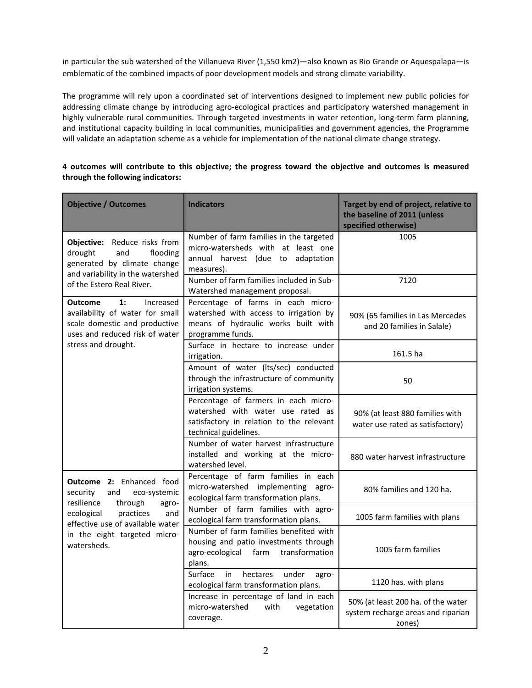in particular the sub watershed of the Villanueva River (1,550 km2)—also known as Rio Grande or Aquespalapa—is emblematic of the combined impacts of poor development models and strong climate variability.

The programme will rely upon a coordinated set of interventions designed to implement new public policies for addressing climate change by introducing agro-ecological practices and participatory watershed management in highly vulnerable rural communities. Through targeted investments in water retention, long-term farm planning, and institutional capacity building in local communities, municipalities and government agencies, the Programme will validate an adaptation scheme as a vehicle for implementation of the national climate change strategy.

| <b>Objective / Outcomes</b>                                                                                                             | <b>Indicators</b>                                                                                                                              | Target by end of project, relative to<br>the baseline of 2011 (unless<br>specified otherwise) |
|-----------------------------------------------------------------------------------------------------------------------------------------|------------------------------------------------------------------------------------------------------------------------------------------------|-----------------------------------------------------------------------------------------------|
| Objective: Reduce risks from<br>drought<br>and<br>flooding<br>generated by climate change<br>and variability in the watershed           | Number of farm families in the targeted<br>micro-watersheds with at least one<br>annual harvest (due to<br>adaptation<br>measures).            | 1005                                                                                          |
| of the Estero Real River.                                                                                                               | Number of farm families included in Sub-<br>Watershed management proposal.                                                                     | 7120                                                                                          |
| <b>Outcome</b><br>1:<br>Increased<br>availability of water for small<br>scale domestic and productive<br>uses and reduced risk of water | Percentage of farms in each micro-<br>watershed with access to irrigation by<br>means of hydraulic works built with<br>programme funds.        | 90% (65 families in Las Mercedes<br>and 20 families in Salale)                                |
| stress and drought.                                                                                                                     | Surface in hectare to increase under<br>irrigation.                                                                                            | 161.5 ha                                                                                      |
|                                                                                                                                         | Amount of water (Its/sec) conducted<br>through the infrastructure of community<br>irrigation systems.                                          | 50                                                                                            |
|                                                                                                                                         | Percentage of farmers in each micro-<br>watershed with water use rated as<br>satisfactory in relation to the relevant<br>technical guidelines. | 90% (at least 880 families with<br>water use rated as satisfactory)                           |
|                                                                                                                                         | Number of water harvest infrastructure<br>installed and working at the micro-<br>watershed level.                                              | 880 water harvest infrastructure                                                              |
| Outcome 2: Enhanced food<br>security<br>and<br>eco-systemic<br>resilience<br>through<br>agro-                                           | Percentage of farm families in each<br>micro-watershed implementing agro-<br>ecological farm transformation plans.                             | 80% families and 120 ha.                                                                      |
| ecological<br>practices<br>and<br>effective use of available water<br>in the eight targeted micro-<br>watersheds.                       | Number of farm families with agro-<br>ecological farm transformation plans.                                                                    | 1005 farm families with plans                                                                 |
|                                                                                                                                         | Number of farm families benefited with<br>housing and patio investments through<br>transformation<br>agro-ecological farm<br>plans.            | 1005 farm families                                                                            |
|                                                                                                                                         | Surface<br>in<br>under<br>hectares<br>agro-<br>ecological farm transformation plans.                                                           | 1120 has. with plans                                                                          |
|                                                                                                                                         | Increase in percentage of land in each<br>micro-watershed<br>with<br>vegetation<br>coverage.                                                   | 50% (at least 200 ha. of the water<br>system recharge areas and riparian<br>zones)            |

## **4 outcomes will contribute to this objective; the progress toward the objective and outcomes is measured through the following indicators:**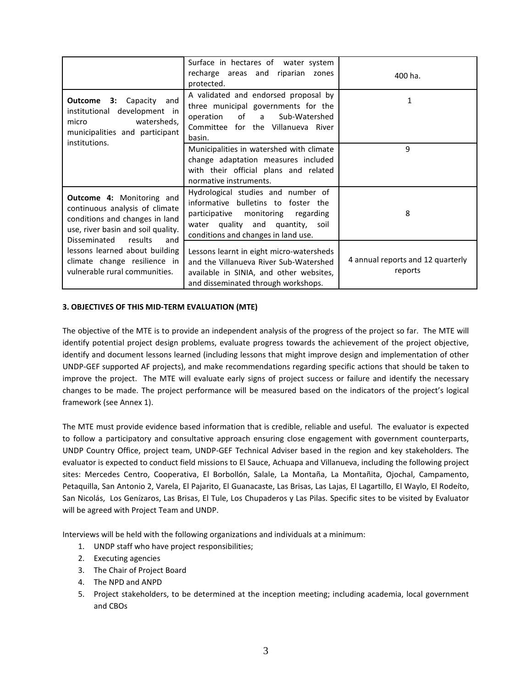|                                                                                                                                                                              | Surface in hectares of water system<br>recharge areas and riparian zones<br>protected.                                                                                                     | 400 ha.                                      |
|------------------------------------------------------------------------------------------------------------------------------------------------------------------------------|--------------------------------------------------------------------------------------------------------------------------------------------------------------------------------------------|----------------------------------------------|
| <b>Outcome</b><br>Capacity<br>3:<br>and<br>institutional development in<br>watersheds,<br>micro<br>municipalities and participant<br>institutions.                           | A validated and endorsed proposal by<br>three municipal governments for the<br>operation of a<br>Sub-Watershed<br>Committee for the Villanueva River<br>basin.                             | 1                                            |
|                                                                                                                                                                              | Municipalities in watershed with climate<br>change adaptation measures included<br>with their official plans and related<br>normative instruments.                                         | 9                                            |
| <b>Outcome 4: Monitoring and</b><br>continuous analysis of climate<br>conditions and changes in land<br>use, river basin and soil quality.<br>Disseminated<br>results<br>and | Hydrological studies and number of<br>informative bulletins to foster the<br>participative monitoring regarding<br>water quality and quantity, soil<br>conditions and changes in land use. | 8                                            |
| lessons learned about building<br>climate change resilience in<br>vulnerable rural communities.                                                                              | Lessons learnt in eight micro-watersheds<br>and the Villanueva River Sub-Watershed<br>available in SINIA, and other websites,<br>and disseminated through workshops.                       | 4 annual reports and 12 quarterly<br>reports |

## **3. OBJECTIVES OF THIS MID-TERM EVALUATION (MTE)**

The objective of the MTE is to provide an independent analysis of the progress of the project so far. The MTE will identify potential project design problems, evaluate progress towards the achievement of the project objective, identify and document lessons learned (including lessons that might improve design and implementation of other UNDP-GEF supported AF projects), and make recommendations regarding specific actions that should be taken to improve the project. The MTE will evaluate early signs of project success or failure and identify the necessary changes to be made. The project performance will be measured based on the indicators of the project's logical framework (see Annex 1).

The MTE must provide evidence based information that is credible, reliable and useful. The evaluator is expected to follow a participatory and consultative approach ensuring close engagement with government counterparts, UNDP Country Office, project team, UNDP-GEF Technical Adviser based in the region and key stakeholders. The evaluator is expected to conduct field missions to El Sauce, Achuapa and Villanueva, including the following project sites: Mercedes Centro, Cooperativa, El Borbollón, Salale, La Montaña, La Montañita, Ojochal, Campamento, Petaquilla, San Antonio 2, Varela, El Pajarito, El Guanacaste, Las Brisas, Las Lajas, El Lagartillo, El Waylo, El Rodeíto, San Nicolás, Los Genízaros, Las Brisas, El Tule, Los Chupaderos y Las Pilas. Specific sites to be visited by Evaluator will be agreed with Project Team and UNDP.

Interviews will be held with the following organizations and individuals at a minimum:

- 1. UNDP staff who have project responsibilities;
- 2. Executing agencies
- 3. The Chair of Project Board
- 4. The NPD and ANPD
- 5. Project stakeholders, to be determined at the inception meeting; including academia, local government and CBOs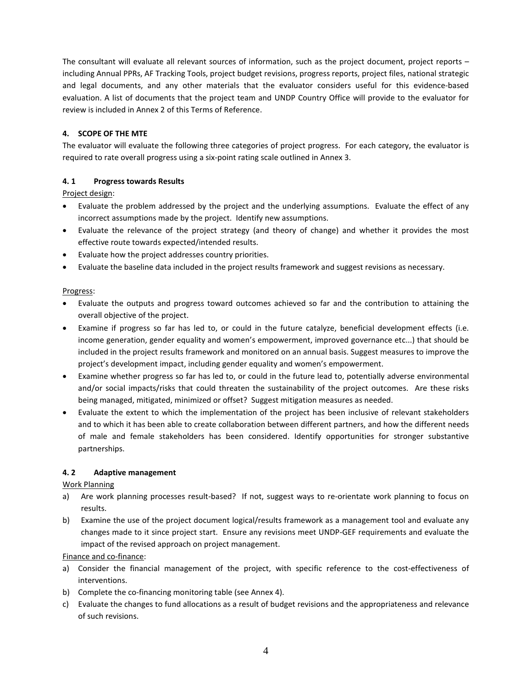The consultant will evaluate all relevant sources of information, such as the project document, project reports – including Annual PPRs, AF Tracking Tools, project budget revisions, progress reports, project files, national strategic and legal documents, and any other materials that the evaluator considers useful for this evidence-based evaluation. A list of documents that the project team and UNDP Country Office will provide to the evaluator for review is included in Annex 2 of this Terms of Reference.

# **4. SCOPE OF THE MTE**

The evaluator will evaluate the following three categories of project progress. For each category, the evaluator is required to rate overall progress using a six-point rating scale outlined in Annex 3.

# **4. 1 Progress towards Results**

Project design:

- Evaluate the problem addressed by the project and the underlying assumptions. Evaluate the effect of any incorrect assumptions made by the project. Identify new assumptions.
- Evaluate the relevance of the project strategy (and theory of change) and whether it provides the most effective route towards expected/intended results.
- Evaluate how the project addresses country priorities.
- Evaluate the baseline data included in the project results framework and suggest revisions as necessary.

## Progress:

- Evaluate the outputs and progress toward outcomes achieved so far and the contribution to attaining the overall objective of the project.
- Examine if progress so far has led to, or could in the future catalyze, beneficial development effects (i.e. income generation, gender equality and women's empowerment, improved governance etc...) that should be included in the project results framework and monitored on an annual basis. Suggest measures to improve the project's development impact, including gender equality and women's empowerment.
- Examine whether progress so far has led to, or could in the future lead to, potentially adverse environmental and/or social impacts/risks that could threaten the sustainability of the project outcomes. Are these risks being managed, mitigated, minimized or offset? Suggest mitigation measures as needed.
- Evaluate the extent to which the implementation of the project has been inclusive of relevant stakeholders and to which it has been able to create collaboration between different partners, and how the different needs of male and female stakeholders has been considered. Identify opportunities for stronger substantive partnerships.

## **4. 2 Adaptive management**

## Work Planning

- a) Are work planning processes result-based? If not, suggest ways to re-orientate work planning to focus on results.
- b) Examine the use of the project document logical/results framework as a management tool and evaluate any changes made to it since project start. Ensure any revisions meet UNDP-GEF requirements and evaluate the impact of the revised approach on project management.

Finance and co-finance:

- a) Consider the financial management of the project, with specific reference to the cost-effectiveness of interventions.
- b) Complete the co-financing monitoring table (see Annex 4).
- c) Evaluate the changes to fund allocations as a result of budget revisions and the appropriateness and relevance of such revisions.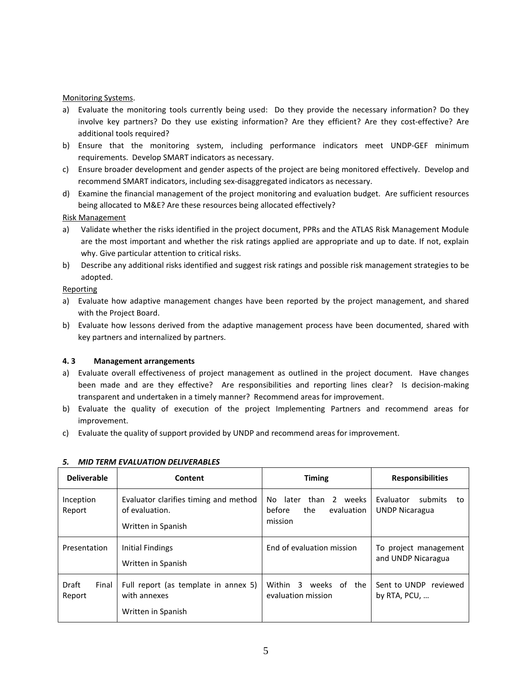### Monitoring Systems.

- a) Evaluate the monitoring tools currently being used: Do they provide the necessary information? Do they involve key partners? Do they use existing information? Are they efficient? Are they cost-effective? Are additional tools required?
- b) Ensure that the monitoring system, including performance indicators meet UNDP-GEF minimum requirements. Develop SMART indicators as necessary.
- c) Ensure broader development and gender aspects of the project are being monitored effectively. Develop and recommend SMART indicators, including sex-disaggregated indicators as necessary.
- d) Examine the financial management of the project monitoring and evaluation budget. Are sufficient resources being allocated to M&E? Are these resources being allocated effectively?

#### Risk Management

- a) Validate whether the risks identified in the project document, PPRs and the ATLAS Risk Management Module are the most important and whether the risk ratings applied are appropriate and up to date. If not, explain why. Give particular attention to critical risks.
- b) Describe any additional risks identified and suggest risk ratings and possible risk management strategies to be adopted.

#### Reporting

- a) Evaluate how adaptive management changes have been reported by the project management, and shared with the Project Board.
- b) Evaluate how lessons derived from the adaptive management process have been documented, shared with key partners and internalized by partners.

## **4. 3 Management arrangements**

- a) Evaluate overall effectiveness of project management as outlined in the project document. Have changes been made and are they effective? Are responsibilities and reporting lines clear? Is decision-making transparent and undertaken in a timely manner? Recommend areas for improvement.
- b) Evaluate the quality of execution of the project Implementing Partners and recommend areas for improvement.
- c) Evaluate the quality of support provided by UNDP and recommend areas for improvement.

| <b>Deliverable</b>       | Content                                                                       | <b>Timing</b>                                                             | <b>Responsibilities</b>                             |  |  |
|--------------------------|-------------------------------------------------------------------------------|---------------------------------------------------------------------------|-----------------------------------------------------|--|--|
| Inception<br>Report      | Evaluator clarifies timing and method<br>of evaluation.<br>Written in Spanish | than<br>2 weeks<br>No.<br>later<br>before<br>the<br>evaluation<br>mission | Evaluator<br>submits<br>to<br><b>UNDP Nicaragua</b> |  |  |
| Presentation             | Initial Findings<br>Written in Spanish                                        | End of evaluation mission                                                 | To project management<br>and UNDP Nicaragua         |  |  |
| Draft<br>Final<br>Report | Full report (as template in annex 5)<br>with annexes<br>Written in Spanish    | Within<br>of the<br>-3<br>weeks<br>evaluation mission                     | Sent to UNDP<br>reviewed<br>by RTA, $PCU, $         |  |  |

#### *5. MID TERM EVALUATION DELIVERABLES*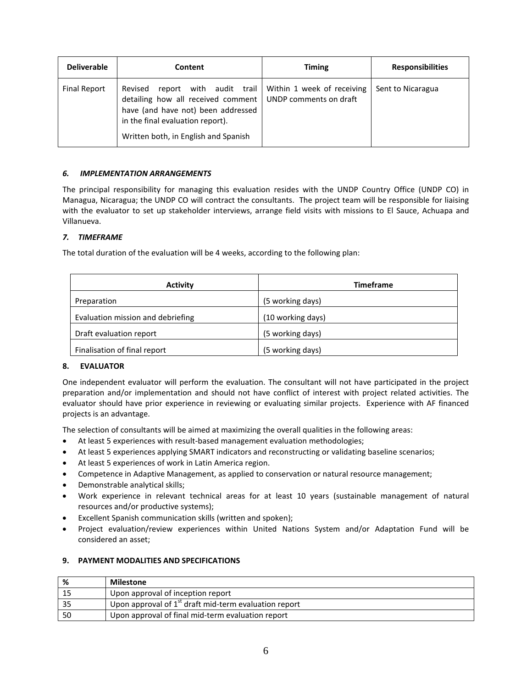| <b>Deliverable</b>  | Content                                                                                                                                                                                                                                        | <b>Timing</b> | <b>Responsibilities</b> |
|---------------------|------------------------------------------------------------------------------------------------------------------------------------------------------------------------------------------------------------------------------------------------|---------------|-------------------------|
| <b>Final Report</b> | report with audit trail Within 1 week of receiving<br>Revised<br>detailing how all received comment   UNDP comments on draft<br>have (and have not) been addressed<br>in the final evaluation report).<br>Written both, in English and Spanish |               | Sent to Nicaragua       |

# *6. IMPLEMENTATION ARRANGEMENTS*

The principal responsibility for managing this evaluation resides with the UNDP Country Office (UNDP CO) in Managua, Nicaragua; the UNDP CO will contract the consultants. The project team will be responsible for liaising with the evaluator to set up stakeholder interviews, arrange field visits with missions to El Sauce, Achuapa and Villanueva.

# *7. TIMEFRAME*

The total duration of the evaluation will be 4 weeks, according to the following plan:

| <b>Activity</b>                   | <b>Timeframe</b>  |
|-----------------------------------|-------------------|
| Preparation                       | (5 working days)  |
| Evaluation mission and debriefing | (10 working days) |
| Draft evaluation report           | (5 working days)  |
| Finalisation of final report      | (5 working days)  |

# **8. EVALUATOR**

One independent evaluator will perform the evaluation. The consultant will not have participated in the project preparation and/or implementation and should not have conflict of interest with project related activities. The evaluator should have prior experience in reviewing or evaluating similar projects. Experience with AF financed projects is an advantage.

The selection of consultants will be aimed at maximizing the overall qualities in the following areas:

- At least 5 experiences with result-based management evaluation methodologies;
- At least 5 experiences applying SMART indicators and reconstructing or validating baseline scenarios;
- At least 5 experiences of work in Latin America region.
- Competence in Adaptive Management, as applied to conservation or natural resource management;
- Demonstrable analytical skills;
- Work experience in relevant technical areas for at least 10 years (sustainable management of natural resources and/or productive systems);
- Excellent Spanish communication skills (written and spoken);
- Project evaluation/review experiences within United Nations System and/or Adaptation Fund will be considered an asset;

## **9. PAYMENT MODALITIES AND SPECIFICATIONS**

| %   | <b>Milestone</b>                                        |
|-----|---------------------------------------------------------|
| 15  | Upon approval of inception report                       |
| 35  | Upon approval of $1st$ draft mid-term evaluation report |
| -50 | Upon approval of final mid-term evaluation report       |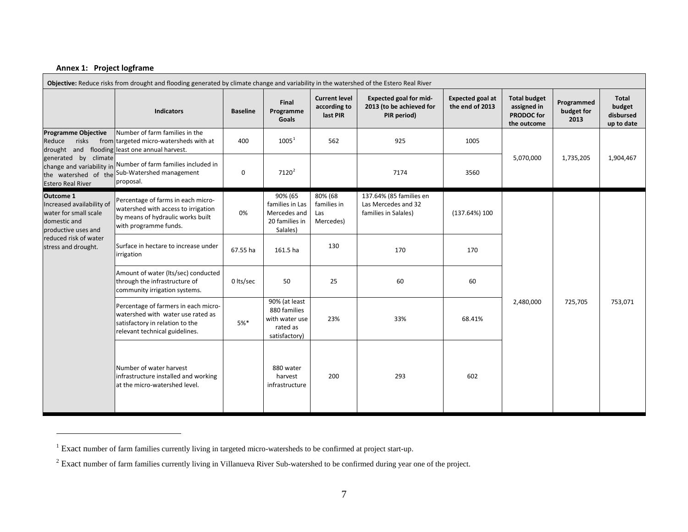# <span id="page-6-1"></span><span id="page-6-0"></span>**Annex 1: Project logframe**

 $\overline{a}$ 

| Objective: Reduce risks from drought and flooding generated by climate change and variability in the watershed of the Estero Real River |                                                                                                                                                |                 |                                                                              |                                                  |                                                                          |                                            |                                                                        |                                  |                                            |
|-----------------------------------------------------------------------------------------------------------------------------------------|------------------------------------------------------------------------------------------------------------------------------------------------|-----------------|------------------------------------------------------------------------------|--------------------------------------------------|--------------------------------------------------------------------------|--------------------------------------------|------------------------------------------------------------------------|----------------------------------|--------------------------------------------|
|                                                                                                                                         | Indicators                                                                                                                                     | <b>Baseline</b> | Final<br>Programme<br>Goals                                                  | <b>Current level</b><br>according to<br>last PIR | <b>Expected goal for mid-</b><br>2013 (to be achieved for<br>PIR period) | <b>Expected goal at</b><br>the end of 2013 | <b>Total budget</b><br>assigned in<br><b>PRODOC</b> for<br>the outcome | Programmed<br>budget for<br>2013 | Total<br>budget<br>disbursed<br>up to date |
| <b>Programme Objective</b><br>risks<br>Reduce                                                                                           | Number of farm families in the<br>from targeted micro-watersheds with at<br>drought and flooding least one annual harvest.                     | 400             | $1005^{1}$                                                                   | 562                                              | 925                                                                      | 1005                                       |                                                                        |                                  |                                            |
| generated by climate<br><b>Estero Real River</b>                                                                                        | change and variability in Number of farm families included in<br>the watershed of the Sub-Watershed management<br>proposal.                    | 0               | $7120^2$                                                                     |                                                  | 7174                                                                     | 3560                                       | 5,070,000                                                              | 1,735,205                        | 1,904,467                                  |
| <b>Outcome 1</b><br>Increased availability of<br>water for small scale<br>domestic and<br>productive uses and                           | Percentage of farms in each micro-<br>watershed with access to irrigation<br>by means of hydraulic works built<br>with programme funds.        | 0%              | 90% (65<br>families in Las<br>Mercedes and<br>20 families in<br>Salales)     | 80% (68<br>families in<br>Las<br>Mercedes)       | 137.64% (85 families en<br>Las Mercedes and 32<br>families in Salales)   | (137.64%)100                               |                                                                        |                                  |                                            |
| reduced risk of water<br>stress and drought.                                                                                            | Surface in hectare to increase under<br>irrigation                                                                                             | 67.55 ha        | 161.5 ha                                                                     | 130                                              | 170                                                                      | 170                                        |                                                                        |                                  |                                            |
|                                                                                                                                         | Amount of water (Its/sec) conducted<br>through the infrastructure of<br>community irrigation systems.                                          | 0 lts/sec       | 50                                                                           | 25                                               | 60                                                                       | 60                                         |                                                                        |                                  |                                            |
|                                                                                                                                         | Percentage of farmers in each micro-<br>watershed with water use rated as<br>satisfactory in relation to the<br>relevant technical guidelines. | $5%$ *          | 90% (at least<br>880 families<br>with water use<br>rated as<br>satisfactory) | 23%                                              | 33%                                                                      | 68.41%                                     | 2,480,000                                                              | 725,705                          | 753,071                                    |
|                                                                                                                                         | Number of water harvest<br>infrastructure installed and working<br>at the micro-watershed level.                                               |                 | 880 water<br>harvest<br>infrastructure                                       | 200                                              | 293                                                                      | 602                                        |                                                                        |                                  |                                            |

<sup>&</sup>lt;sup>1</sup> Exact number of farm families currently living in targeted micro-watersheds to be confirmed at project start-up.

<sup>&</sup>lt;sup>2</sup> Exact number of farm families currently living in Villanueva River Sub-watershed to be confirmed during year one of the project.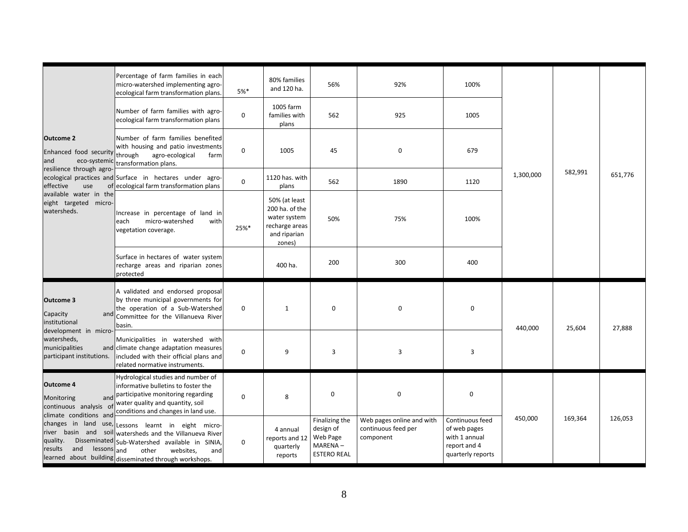|                                                                                            | Percentage of farm families in each<br>micro-watershed implementing agro-<br>ecological farm transformation plans.                                                                                                  | $5%$ *      | 80% families<br>and 120 ha.                                                                 | 56%                                                                      | 92%                                                           | 100%                                                                                  |           |         |         |
|--------------------------------------------------------------------------------------------|---------------------------------------------------------------------------------------------------------------------------------------------------------------------------------------------------------------------|-------------|---------------------------------------------------------------------------------------------|--------------------------------------------------------------------------|---------------------------------------------------------------|---------------------------------------------------------------------------------------|-----------|---------|---------|
|                                                                                            | Number of farm families with agro-<br>ecological farm transformation plans                                                                                                                                          | 0           | 1005 farm<br>families with<br>plans                                                         | 562                                                                      | 925                                                           | 1005                                                                                  |           |         |         |
| <b>Outcome 2</b><br>Enhanced food security<br>and<br>eco-systemic                          | Number of farm families benefited<br>with housing and patio investments<br>through<br>agro-ecological<br>farm<br>transformation plans.                                                                              | $\mathbf 0$ | 1005                                                                                        | 45                                                                       | 0                                                             | 679                                                                                   |           |         |         |
| resilience through agro-<br>effective<br>use                                               | ecological practices and Surface in hectares under agro-<br>of ecological farm transformation plans                                                                                                                 | $\mathbf 0$ | 1120 has. with<br>plans                                                                     | 562                                                                      | 1890                                                          | 1120                                                                                  | 1,300,000 | 582,991 | 651,776 |
| available water in the<br>eight targeted micro-<br>watersheds.                             | Increase in percentage of land in<br>micro-watershed<br>with<br>each<br>vegetation coverage.                                                                                                                        | 25%*        | 50% (at least<br>200 ha. of the<br>water system<br>recharge areas<br>and riparian<br>zones) | 50%                                                                      | 75%                                                           | 100%                                                                                  |           |         |         |
|                                                                                            | Surface in hectares of water system<br>recharge areas and riparian zones<br>protected                                                                                                                               |             | 400 ha.                                                                                     | 200                                                                      | 300                                                           | 400                                                                                   |           |         |         |
| Outcome 3<br>Capacity<br>and<br>institutional                                              | A validated and endorsed proposal<br>by three municipal governments for<br>the operation of a Sub-Watershed<br>Committee for the Villanueva River<br>basin.                                                         | 0           | $\mathbf{1}$                                                                                | $\mathbf 0$                                                              | $\mathbf 0$                                                   | $\mathbf 0$                                                                           | 440,000   | 25,604  | 27,888  |
| development in micro-<br>watersheds,<br>municipalities<br>participant institutions.        | Municipalities in watershed with<br>and climate change adaptation measures<br>included with their official plans and<br>related normative instruments.                                                              | 0           | 9                                                                                           | 3                                                                        | 3                                                             | 3                                                                                     |           |         |         |
| <b>Outcome 4</b><br>Monitoring<br>$\circ$<br>continuous analysis<br>climate conditions and | Hydrological studies and number of<br>informative bulletins to foster the<br>and participative monitoring regarding<br>water quality and quantity, soil<br>conditions and changes in land use.                      | 0           | 8                                                                                           | 0                                                                        | $\pmb{0}$                                                     | $\mathbf 0$                                                                           |           |         |         |
| changes in land<br>river basin and soil<br>quality.<br>and<br>results<br>lessons and       | use, Lessons learnt in eight micro-<br>watersheds and the Villanueva River<br>Disseminated Sub-Watershed available in SINIA,<br>other<br>websites,<br>and<br>learned about building disseminated through workshops. | $\mathbf 0$ | 4 annual<br>reports and 12<br>quarterly<br>reports                                          | Finalizing the<br>design of<br>Web Page<br>MARENA-<br><b>ESTERO REAL</b> | Web pages online and with<br>continuous feed per<br>component | Continuous feed<br>of web pages<br>with 1 annual<br>report and 4<br>quarterly reports | 450,000   | 169,364 | 126,053 |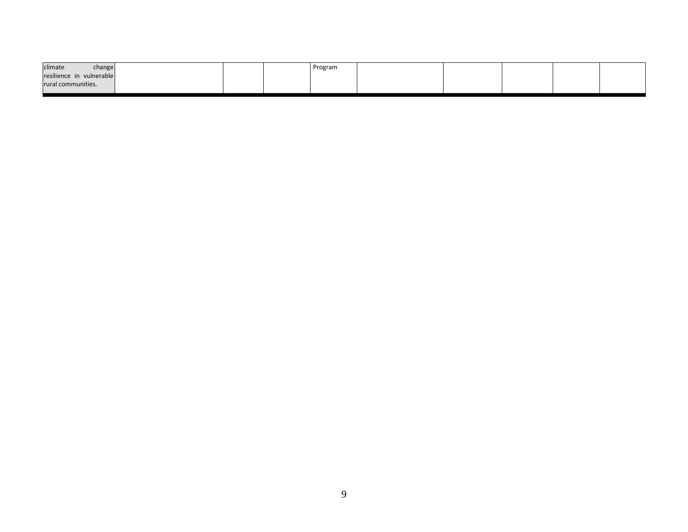| climate<br>change        | Program |  |  |  |
|--------------------------|---------|--|--|--|
| resilience in vulnerable |         |  |  |  |
| rural communities.       |         |  |  |  |
|                          |         |  |  |  |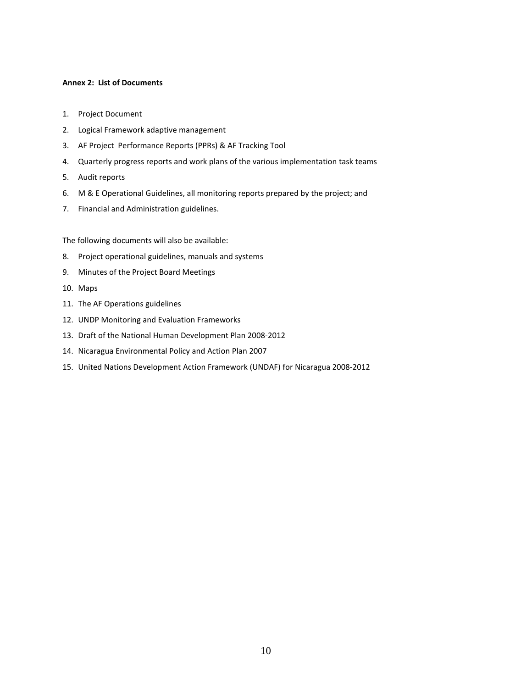#### **Annex 2: List of Documents**

- 1. Project Document
- 2. Logical Framework adaptive management
- 3. AF Project Performance Reports (PPRs) & AF Tracking Tool
- 4. Quarterly progress reports and work plans of the various implementation task teams
- 5. Audit reports
- 6. M & E Operational Guidelines, all monitoring reports prepared by the project; and
- 7. Financial and Administration guidelines.

The following documents will also be available:

- 8. Project operational guidelines, manuals and systems
- 9. Minutes of the Project Board Meetings
- 10. Maps
- 11. The AF Operations guidelines
- 12. UNDP Monitoring and Evaluation Frameworks
- 13. Draft of the National Human Development Plan 2008-2012
- 14. Nicaragua Environmental Policy and Action Plan 2007
- 15. United Nations Development Action Framework (UNDAF) for Nicaragua 2008-2012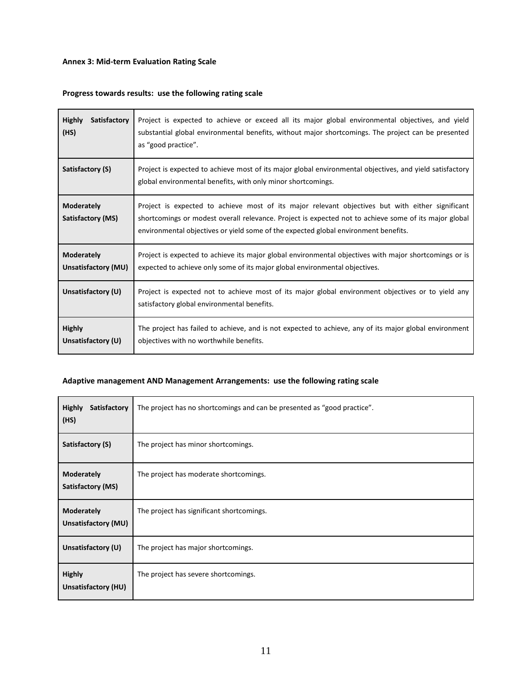# **Annex 3: Mid-term Evaluation Rating Scale**

# **Progress towards results: use the following rating scale**

| <b>Highly</b>                          | Project is expected to achieve or exceed all its major global environmental objectives, and yield                                                                                                                                                                                                |
|----------------------------------------|--------------------------------------------------------------------------------------------------------------------------------------------------------------------------------------------------------------------------------------------------------------------------------------------------|
| Satisfactory                           | substantial global environmental benefits, without major shortcomings. The project can be presented                                                                                                                                                                                              |
| (HS)                                   | as "good practice".                                                                                                                                                                                                                                                                              |
| Satisfactory (S)                       | Project is expected to achieve most of its major global environmental objectives, and yield satisfactory<br>global environmental benefits, with only minor shortcomings.                                                                                                                         |
| <b>Moderately</b><br>Satisfactory (MS) | Project is expected to achieve most of its major relevant objectives but with either significant<br>shortcomings or modest overall relevance. Project is expected not to achieve some of its major global<br>environmental objectives or yield some of the expected global environment benefits. |
| <b>Moderately</b>                      | Project is expected to achieve its major global environmental objectives with major shortcomings or is                                                                                                                                                                                           |
| Unsatisfactory (MU)                    | expected to achieve only some of its major global environmental objectives.                                                                                                                                                                                                                      |
| Unsatisfactory (U)                     | Project is expected not to achieve most of its major global environment objectives or to yield any<br>satisfactory global environmental benefits.                                                                                                                                                |
| <b>Highly</b>                          | The project has failed to achieve, and is not expected to achieve, any of its major global environment                                                                                                                                                                                           |
| Unsatisfactory (U)                     | objectives with no worthwhile benefits.                                                                                                                                                                                                                                                          |

# **Adaptive management AND Management Arrangements: use the following rating scale**

| <b>Highly</b><br>Satisfactory<br>(HS)    | The project has no shortcomings and can be presented as "good practice". |
|------------------------------------------|--------------------------------------------------------------------------|
| Satisfactory (S)                         | The project has minor shortcomings.                                      |
| <b>Moderately</b><br>Satisfactory (MS)   | The project has moderate shortcomings.                                   |
| <b>Moderately</b><br>Unsatisfactory (MU) | The project has significant shortcomings.                                |
| Unsatisfactory (U)                       | The project has major shortcomings.                                      |
| <b>Highly</b><br>Unsatisfactory (HU)     | The project has severe shortcomings.                                     |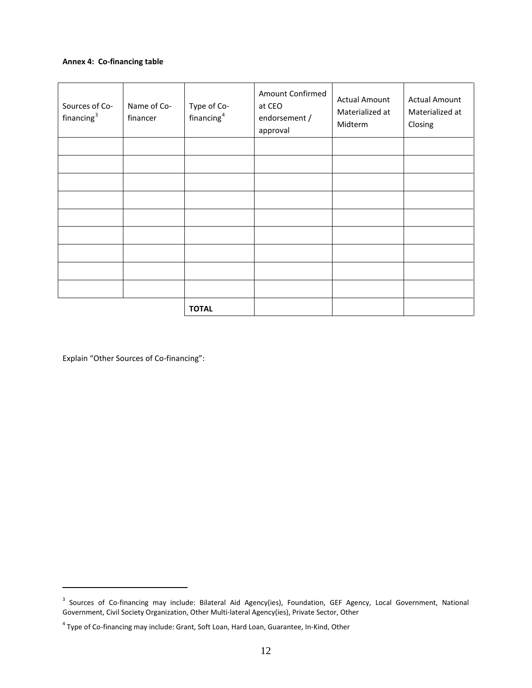## **Annex 4: Co-financing table**

| Sources of Co-<br>financing <sup>3</sup> | Name of Co-<br>financer | Type of Co-<br>financing <sup>4</sup> | Amount Confirmed<br>at CEO<br>endorsement /<br>approval | <b>Actual Amount</b><br>Materialized at<br>Midterm | <b>Actual Amount</b><br>Materialized at<br>Closing |
|------------------------------------------|-------------------------|---------------------------------------|---------------------------------------------------------|----------------------------------------------------|----------------------------------------------------|
|                                          |                         |                                       |                                                         |                                                    |                                                    |
|                                          |                         |                                       |                                                         |                                                    |                                                    |
|                                          |                         |                                       |                                                         |                                                    |                                                    |
|                                          |                         |                                       |                                                         |                                                    |                                                    |
|                                          |                         |                                       |                                                         |                                                    |                                                    |
|                                          |                         |                                       |                                                         |                                                    |                                                    |
|                                          |                         |                                       |                                                         |                                                    |                                                    |
|                                          |                         |                                       |                                                         |                                                    |                                                    |
|                                          |                         |                                       |                                                         |                                                    |                                                    |
|                                          |                         | <b>TOTAL</b>                          |                                                         |                                                    |                                                    |

Explain "Other Sources of Co-financing":

 $\overline{a}$ 

<span id="page-11-0"></span><sup>&</sup>lt;sup>3</sup> Sources of Co-financing may include: Bilateral Aid Agency(ies), Foundation, GEF Agency, Local Government, National Government, Civil Society Organization, Other Multi-lateral Agency(ies), Private Sector, Other

<span id="page-11-1"></span><sup>4</sup> Type of Co-financing may include: Grant, Soft Loan, Hard Loan, Guarantee, In-Kind, Other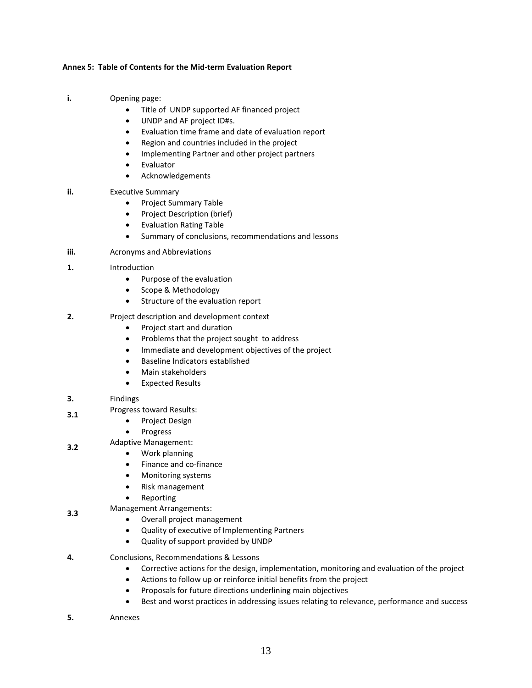### **Annex 5: Table of Contents for the Mid-term Evaluation Report**

- **i.** Opening page:
	- Title of UNDP supported AF financed project
	- UNDP and AF project ID#s.
	- Evaluation time frame and date of evaluation report
	- Region and countries included in the project
	- Implementing Partner and other project partners
	- Evaluator
	- Acknowledgements
- **ii.** Executive Summary
	- Project Summary Table
	- Project Description (brief)
	- Evaluation Rating Table
	- Summary of conclusions, recommendations and lessons
- **iii.** Acronyms and Abbreviations
- **1.** Introduction
	- Purpose of the evaluation
	- Scope & Methodology
	- Structure of the evaluation report
- **2.** Project description and development context
	- Project start and duration
	- Problems that the project sought to address
	- Immediate and development objectives of the project
	- Baseline Indicators established
	- Main stakeholders
	- Expected Results

## **3.** Findings

- **3.1** Progress toward Results:<br>**•** Project Design
	- Project Design
	- **Progress**
	-
- **3.2** Adaptive Management:<br>**a.2** Mork planning • Work planning
	- Finance and co-finance
	- Monitoring systems
	- Risk management
	- Reporting
- **3.3** Management Arrangements:
	- Overall project management
	- Quality of executive of Implementing Partners
	- Quality of support provided by UNDP
- **4.** Conclusions, Recommendations & Lessons
	- Corrective actions for the design, implementation, monitoring and evaluation of the project
	- Actions to follow up or reinforce initial benefits from the project
	- Proposals for future directions underlining main objectives
	- Best and worst practices in addressing issues relating to relevance, performance and success
- **5.** Annexes